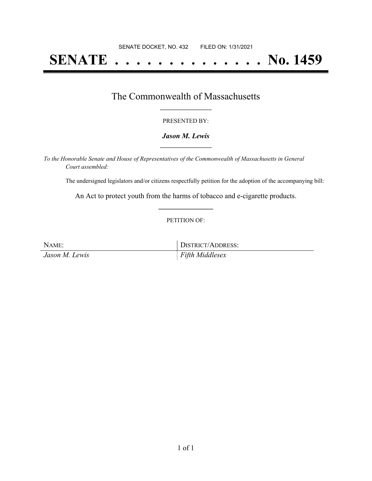# **SENATE . . . . . . . . . . . . . . No. 1459**

## The Commonwealth of Massachusetts **\_\_\_\_\_\_\_\_\_\_\_\_\_\_\_\_\_**

#### PRESENTED BY:

#### *Jason M. Lewis* **\_\_\_\_\_\_\_\_\_\_\_\_\_\_\_\_\_**

*To the Honorable Senate and House of Representatives of the Commonwealth of Massachusetts in General Court assembled:*

The undersigned legislators and/or citizens respectfully petition for the adoption of the accompanying bill:

An Act to protect youth from the harms of tobacco and e-cigarette products. **\_\_\_\_\_\_\_\_\_\_\_\_\_\_\_**

#### PETITION OF:

| NAME:          | DISTRICT/ADDRESS:   |
|----------------|---------------------|
| Jason M. Lewis | $F$ Fifth Middlesex |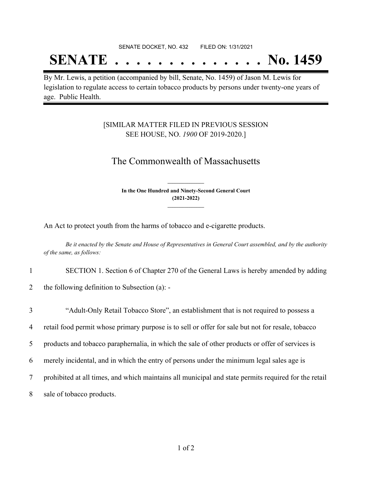#### SENATE DOCKET, NO. 432 FILED ON: 1/31/2021

## **SENATE . . . . . . . . . . . . . . No. 1459**

By Mr. Lewis, a petition (accompanied by bill, Senate, No. 1459) of Jason M. Lewis for legislation to regulate access to certain tobacco products by persons under twenty-one years of age. Public Health.

### [SIMILAR MATTER FILED IN PREVIOUS SESSION SEE HOUSE, NO. *1900* OF 2019-2020.]

### The Commonwealth of Massachusetts

**In the One Hundred and Ninety-Second General Court (2021-2022) \_\_\_\_\_\_\_\_\_\_\_\_\_\_\_**

**\_\_\_\_\_\_\_\_\_\_\_\_\_\_\_**

An Act to protect youth from the harms of tobacco and e-cigarette products.

Be it enacted by the Senate and House of Representatives in General Court assembled, and by the authority *of the same, as follows:*

- 1 SECTION 1. Section 6 of Chapter 270 of the General Laws is hereby amended by adding
- 2 the following definition to Subsection (a): -

 "Adult-Only Retail Tobacco Store", an establishment that is not required to possess a retail food permit whose primary purpose is to sell or offer for sale but not for resale, tobacco products and tobacco paraphernalia, in which the sale of other products or offer of services is merely incidental, and in which the entry of persons under the minimum legal sales age is prohibited at all times, and which maintains all municipal and state permits required for the retail sale of tobacco products.